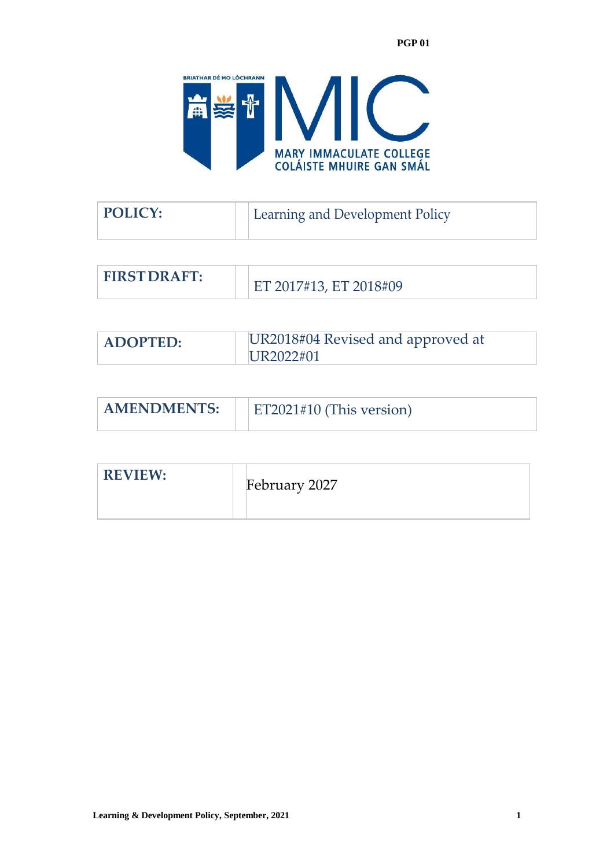

| POLICY: | Learning and Development Policy |
|---------|---------------------------------|
|         |                                 |

| <b>FIRST DRAFT:</b> | ET 2017#13, ET 2018#09 |
|---------------------|------------------------|
|---------------------|------------------------|

| <b>ADOPTED:</b> | UR2018#04 Revised and approved at |  |
|-----------------|-----------------------------------|--|
|                 | UR2022#01                         |  |

| <b>AMENDMENTS:</b> | $\pm$ ET2021#10 (This version) |
|--------------------|--------------------------------|
|                    |                                |

| <b>REVIEW:</b> |  | February 2027 |
|----------------|--|---------------|
|----------------|--|---------------|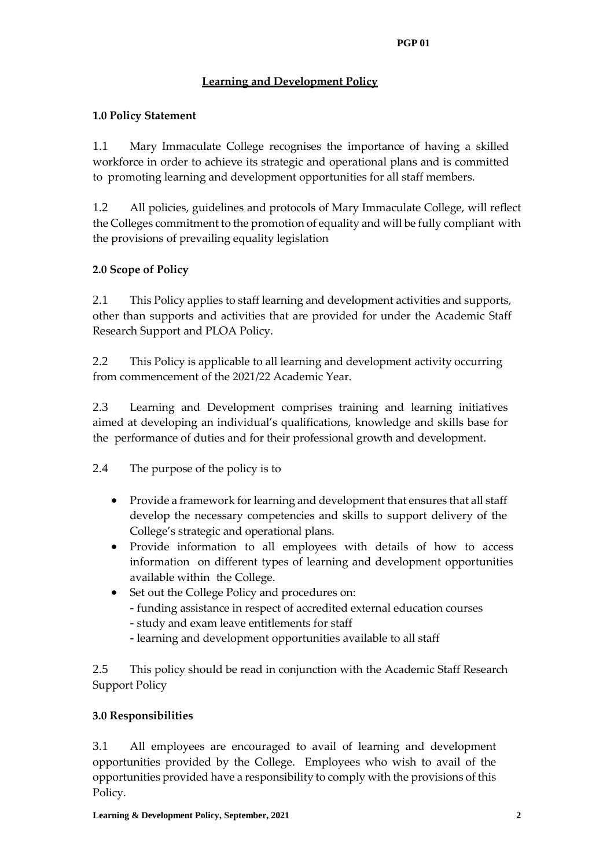# **Learning and Development Policy**

## **1.0 Policy Statement**

1.1 Mary Immaculate College recognises the importance of having a skilled workforce in order to achieve its strategic and operational plans and is committed to promoting learning and development opportunities for all staff members.

1.2 All policies, guidelines and protocols of Mary Immaculate College, will reflect the Colleges commitment to the promotion of equality and will be fully compliant with the provisions of prevailing equality legislation

## **2.0 Scope of Policy**

2.1 This Policy applies to staff learning and development activities and supports, other than supports and activities that are provided for under the Academic Staff Research Support and PLOA Policy.

2.2 This Policy is applicable to all learning and development activity occurring from commencement of the 2021/22 Academic Year.

2.3 Learning and Development comprises training and learning initiatives aimed at developing an individual's qualifications, knowledge and skills base for the performance of duties and for their professional growth and development.

2.4 The purpose of the policy is to

- Provide a framework for learning and development that ensures that all staff develop the necessary competencies and skills to support delivery of the College's strategic and operational plans.
- Provide information to all employees with details of how to access information on different types of learning and development opportunities available within the College.
- Set out the College Policy and procedures on:
	- funding assistance in respect of accredited external education courses
	- study and exam leave entitlements for staff
	- learning and development opportunities available to all staff

2.5 This policy should be read in conjunction with the Academic Staff Research Support Policy

### **3.0 Responsibilities**

3.1 All employees are encouraged to avail of learning and development opportunities provided by the College. Employees who wish to avail of the opportunities provided have a responsibility to comply with the provisions of this Policy.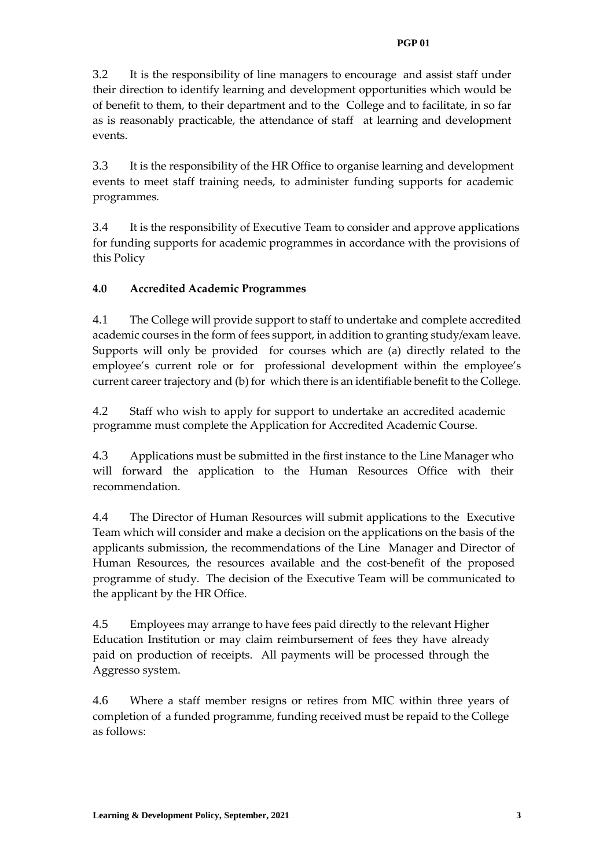#### **PGP 01**

3.2 It is the responsibility of line managers to encourage and assist staff under their direction to identify learning and development opportunities which would be of benefit to them, to their department and to the College and to facilitate, in so far as is reasonably practicable, the attendance of staff at learning and development events.

3.3 It is the responsibility of the HR Office to organise learning and development events to meet staff training needs, to administer funding supports for academic programmes.

3.4 It is the responsibility of Executive Team to consider and approve applications for funding supports for academic programmes in accordance with the provisions of this Policy

## **4.0 Accredited Academic Programmes**

4.1 The College will provide support to staff to undertake and complete accredited academic courses in the form of fees support, in addition to granting study/exam leave. Supports will only be provided for courses which are (a) directly related to the employee's current role or for professional development within the employee's current career trajectory and (b) for which there is an identifiable benefit to the College.

4.2 Staff who wish to apply for support to undertake an accredited academic programme must complete the Application for Accredited Academic Course.

4.3 Applications must be submitted in the first instance to the Line Manager who will forward the application to the Human Resources Office with their recommendation.

4.4 The Director of Human Resources will submit applications to the Executive Team which will consider and make a decision on the applications on the basis of the applicants submission, the recommendations of the Line Manager and Director of Human Resources, the resources available and the cost-benefit of the proposed programme of study. The decision of the Executive Team will be communicated to the applicant by the HR Office.

4.5 Employees may arrange to have fees paid directly to the relevant Higher Education Institution or may claim reimbursement of fees they have already paid on production of receipts. All payments will be processed through the Aggresso system.

4.6 Where a staff member resigns or retires from MIC within three years of completion of a funded programme, funding received must be repaid to the College as follows: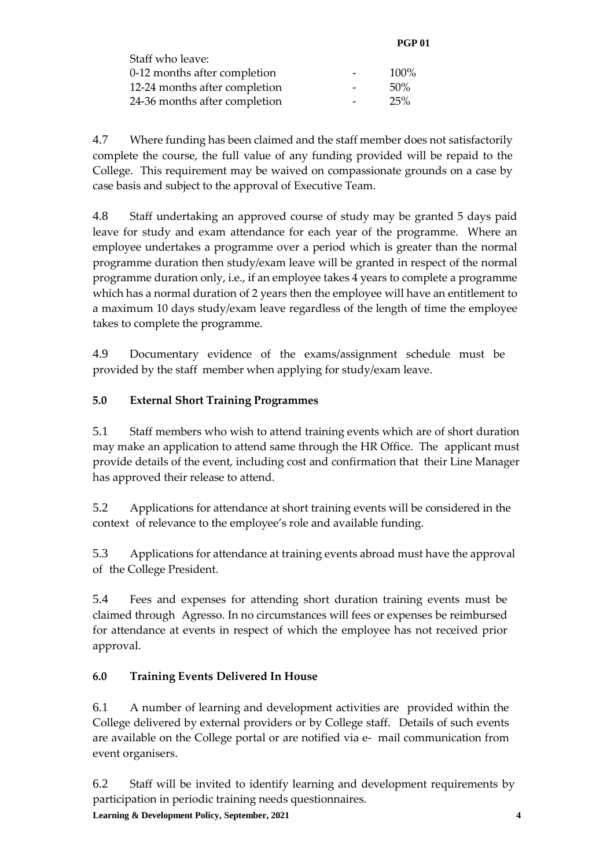|                               | <b>PGP 01</b> |
|-------------------------------|---------------|
| Staff who leave:              |               |
| 0-12 months after completion  | 100%          |
| 12-24 months after completion | 50%           |
| 24-36 months after completion | 25%           |

4.7 Where funding has been claimed and the staff member does not satisfactorily complete the course, the full value of any funding provided will be repaid to the College. This requirement may be waived on compassionate grounds on a case by case basis and subject to the approval of Executive Team.

4.8 Staff undertaking an approved course of study may be granted 5 days paid leave for study and exam attendance for each year of the programme. Where an employee undertakes a programme over a period which is greater than the normal programme duration then study/exam leave will be granted in respect of the normal programme duration only, i.e., if an employee takes 4 years to complete a programme which has a normal duration of 2 years then the employee will have an entitlement to a maximum 10 days study/exam leave regardless of the length of time the employee takes to complete the programme.

4.9 Documentary evidence of the exams/assignment schedule must be provided by the staff member when applying for study/exam leave.

# **5.0 External Short Training Programmes**

5.1 Staff members who wish to attend training events which are of short duration may make an application to attend same through the HR Office. The applicant must provide details of the event, including cost and confirmation that their Line Manager has approved their release to attend.

5.2 Applications for attendance at short training events will be considered in the context of relevance to the employee's role and available funding.

5.3 Applications for attendance at training events abroad must have the approval of the College President.

5.4 Fees and expenses for attending short duration training events must be claimed through Agresso. In no circumstances will fees or expenses be reimbursed for attendance at events in respect of which the employee has not received prior approval.

# **6.0 Training Events Delivered In House**

6.1 A number of learning and development activities are provided within the College delivered by external providers or by College staff. Details of such events are available on the College portal or are notified via e- mail communication from event organisers.

6.2 Staff will be invited to identify learning and development requirements by participation in periodic training needs questionnaires.